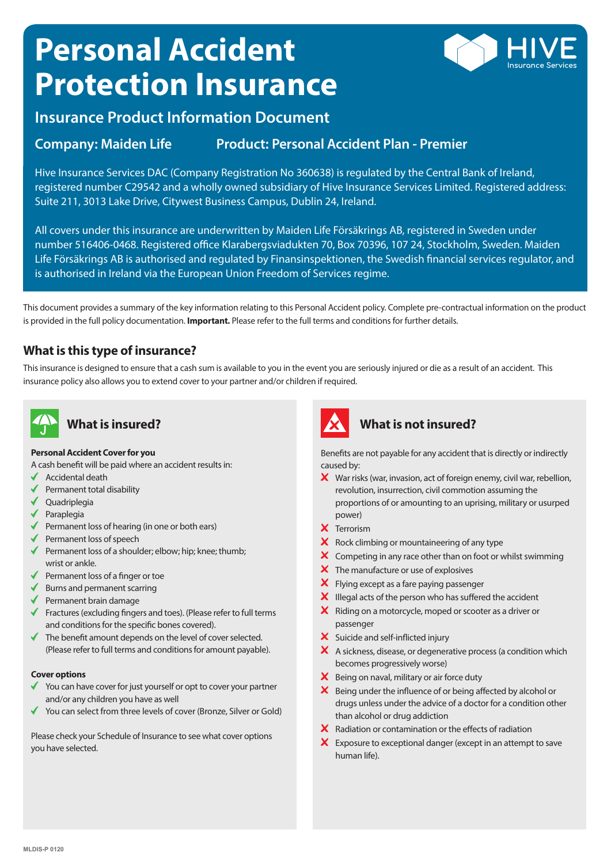# **Personal Accident Protection Insurance**



## **Insurance Product Information Document**

#### **Company: Maiden Life Product: Personal Accident Plan - Premier**

Hive Insurance Services DAC (Company Registration No 360638) is regulated by the Central Bank of Ireland, registered number C29542 and a wholly owned subsidiary of Hive Insurance Services Limited. Registered address: Suite 211, 3013 Lake Drive, Citywest Business Campus, Dublin 24, Ireland.

All covers under this insurance are underwritten by Maiden Life Försäkrings AB, registered in Sweden under number 516406-0468. Registered office Klarabergsviadukten 70, Box 70396, 107 24, Stockholm, Sweden. Maiden Life Försäkrings AB is authorised and regulated by Finansinspektionen, the Swedish financial services regulator, and is authorised in Ireland via the European Union Freedom of Services regime.

This document provides a summary of the key information relating to this Personal Accident policy. Complete pre-contractual information on the product is provided in the full policy documentation. **Important.** Please refer to the full terms and conditions for further details.

#### **What is this type of insurance?**

This insurance is designed to ensure that a cash sum is available to you in the event you are seriously injured or die as a result of an accident. This insurance policy also allows you to extend cover to your partner and/or children if required.



# **What is insured?**

#### **Personal Accident Cover for you**

- A cash benefit will be paid where an accident results in:
- Accidental death
- Permanent total disability ✔
- ◆ Quadriplegia
- $\blacklozenge$  Paraplegia
- $\blacklozenge$  Permanent loss of hearing (in one or both ears)
- $\blacklozenge$  Permanent loss of speech
- Permanent loss of a shoulder; elbow; hip; knee; thumb; wrist or ankle.
- $\blacklozenge$  Permanent loss of a finger or toe
- $\blacklozenge$  Burns and permanent scarring
- $\blacklozenge$  Permanent brain damage
- $\blacklozenge$  Fractures (excluding fingers and toes). (Please refer to full terms and conditions for the specific bones covered).
- $\blacklozenge$  The benefit amount depends on the level of cover selected. (Please refer to full terms and conditions for amount payable).

#### **Cover options**

- $\checkmark$  You can have cover for just yourself or opt to cover your partner and/or any children you have as well
- You can select from three levels of cover (Bronze, Silver or Gold)

Please check your Schedule of Insurance to see what cover options you have selected.



#### **What is not insured?**

Benefits are not payable for any accident that is directly or indirectly caused by:

- $\boldsymbol{\times}$  War risks (war, invasion, act of foreign enemy, civil war, rebellion, revolution, insurrection, civil commotion assuming the proportions of or amounting to an uprising, military or usurped power)
- X Terrorism
- $\mathsf{\times}\;$  Rock climbing or mountaineering of any type
- $\boldsymbol{\times}$  Competing in any race other than on foot or whilst swimming
- $\boldsymbol{\times}$  The manufacture or use of explosives
- X Flying except as a fare paying passenger
- $\boldsymbol{\times}$  Illegal acts of the person who has suffered the accident
- X Riding on a motorcycle, moped or scooter as a driver or passenger
- X Suicide and self-inflicted injury
- A sickness, disease, or degenerative process (a condition which becomes progressively worse)
- $\boldsymbol{\times}$  Being on naval, military or air force duty
- $\boldsymbol{\times}$  Being under the influence of or being affected by alcohol or drugs unless under the advice of a doctor for a condition other than alcohol or drug addiction
- $\boldsymbol{\times}$  Radiation or contamination or the effects of radiation
- $\mathsf{\times}$  Exposure to exceptional danger (except in an attempt to save human life).